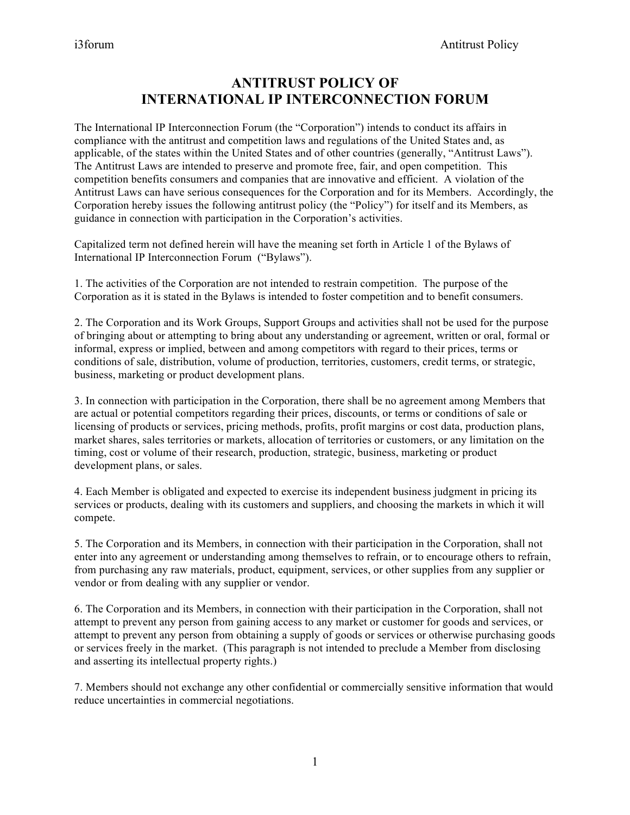## **ANTITRUST POLICY OF INTERNATIONAL IP INTERCONNECTION FORUM**

The International IP Interconnection Forum (the "Corporation") intends to conduct its affairs in compliance with the antitrust and competition laws and regulations of the United States and, as applicable, of the states within the United States and of other countries (generally, "Antitrust Laws"). The Antitrust Laws are intended to preserve and promote free, fair, and open competition. This competition benefits consumers and companies that are innovative and efficient. A violation of the Antitrust Laws can have serious consequences for the Corporation and for its Members. Accordingly, the Corporation hereby issues the following antitrust policy (the "Policy") for itself and its Members, as guidance in connection with participation in the Corporation's activities.

Capitalized term not defined herein will have the meaning set forth in Article 1 of the Bylaws of International IP Interconnection Forum ("Bylaws").

1. The activities of the Corporation are not intended to restrain competition. The purpose of the Corporation as it is stated in the Bylaws is intended to foster competition and to benefit consumers.

2. The Corporation and its Work Groups, Support Groups and activities shall not be used for the purpose of bringing about or attempting to bring about any understanding or agreement, written or oral, formal or informal, express or implied, between and among competitors with regard to their prices, terms or conditions of sale, distribution, volume of production, territories, customers, credit terms, or strategic, business, marketing or product development plans.

3. In connection with participation in the Corporation, there shall be no agreement among Members that are actual or potential competitors regarding their prices, discounts, or terms or conditions of sale or licensing of products or services, pricing methods, profits, profit margins or cost data, production plans, market shares, sales territories or markets, allocation of territories or customers, or any limitation on the timing, cost or volume of their research, production, strategic, business, marketing or product development plans, or sales.

4. Each Member is obligated and expected to exercise its independent business judgment in pricing its services or products, dealing with its customers and suppliers, and choosing the markets in which it will compete.

5. The Corporation and its Members, in connection with their participation in the Corporation, shall not enter into any agreement or understanding among themselves to refrain, or to encourage others to refrain, from purchasing any raw materials, product, equipment, services, or other supplies from any supplier or vendor or from dealing with any supplier or vendor.

6. The Corporation and its Members, in connection with their participation in the Corporation, shall not attempt to prevent any person from gaining access to any market or customer for goods and services, or attempt to prevent any person from obtaining a supply of goods or services or otherwise purchasing goods or services freely in the market. (This paragraph is not intended to preclude a Member from disclosing and asserting its intellectual property rights.)

7. Members should not exchange any other confidential or commercially sensitive information that would reduce uncertainties in commercial negotiations.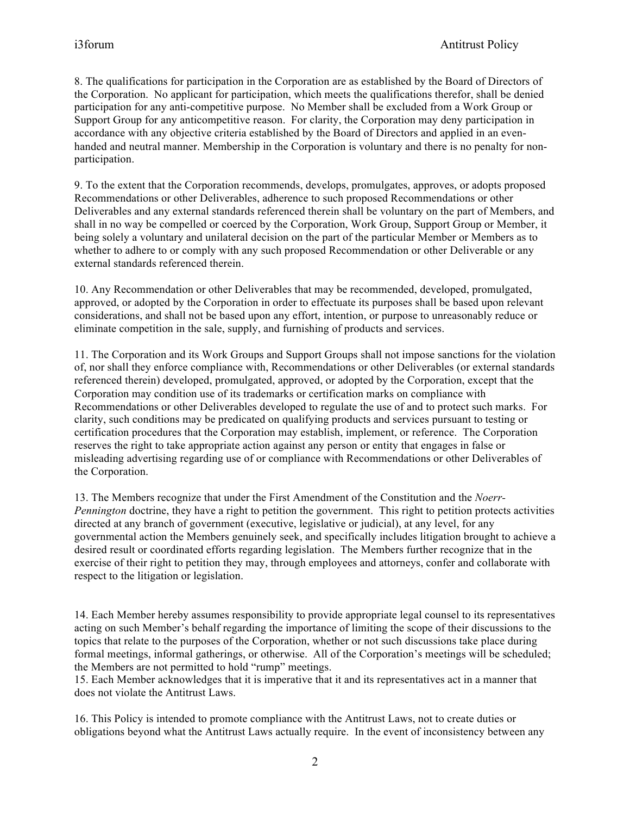8. The qualifications for participation in the Corporation are as established by the Board of Directors of the Corporation. No applicant for participation, which meets the qualifications therefor, shall be denied participation for any anti-competitive purpose. No Member shall be excluded from a Work Group or Support Group for any anticompetitive reason. For clarity, the Corporation may deny participation in accordance with any objective criteria established by the Board of Directors and applied in an evenhanded and neutral manner. Membership in the Corporation is voluntary and there is no penalty for nonparticipation.

9. To the extent that the Corporation recommends, develops, promulgates, approves, or adopts proposed Recommendations or other Deliverables, adherence to such proposed Recommendations or other Deliverables and any external standards referenced therein shall be voluntary on the part of Members, and shall in no way be compelled or coerced by the Corporation, Work Group, Support Group or Member, it being solely a voluntary and unilateral decision on the part of the particular Member or Members as to whether to adhere to or comply with any such proposed Recommendation or other Deliverable or any external standards referenced therein.

10. Any Recommendation or other Deliverables that may be recommended, developed, promulgated, approved, or adopted by the Corporation in order to effectuate its purposes shall be based upon relevant considerations, and shall not be based upon any effort, intention, or purpose to unreasonably reduce or eliminate competition in the sale, supply, and furnishing of products and services.

11. The Corporation and its Work Groups and Support Groups shall not impose sanctions for the violation of, nor shall they enforce compliance with, Recommendations or other Deliverables (or external standards referenced therein) developed, promulgated, approved, or adopted by the Corporation, except that the Corporation may condition use of its trademarks or certification marks on compliance with Recommendations or other Deliverables developed to regulate the use of and to protect such marks. For clarity, such conditions may be predicated on qualifying products and services pursuant to testing or certification procedures that the Corporation may establish, implement, or reference. The Corporation reserves the right to take appropriate action against any person or entity that engages in false or misleading advertising regarding use of or compliance with Recommendations or other Deliverables of the Corporation.

13. The Members recognize that under the First Amendment of the Constitution and the *Noerr-Pennington* doctrine, they have a right to petition the government. This right to petition protects activities directed at any branch of government (executive, legislative or judicial), at any level, for any governmental action the Members genuinely seek, and specifically includes litigation brought to achieve a desired result or coordinated efforts regarding legislation. The Members further recognize that in the exercise of their right to petition they may, through employees and attorneys, confer and collaborate with respect to the litigation or legislation.

14. Each Member hereby assumes responsibility to provide appropriate legal counsel to its representatives acting on such Member's behalf regarding the importance of limiting the scope of their discussions to the topics that relate to the purposes of the Corporation, whether or not such discussions take place during formal meetings, informal gatherings, or otherwise. All of the Corporation's meetings will be scheduled; the Members are not permitted to hold "rump" meetings.

15. Each Member acknowledges that it is imperative that it and its representatives act in a manner that does not violate the Antitrust Laws.

16. This Policy is intended to promote compliance with the Antitrust Laws, not to create duties or obligations beyond what the Antitrust Laws actually require. In the event of inconsistency between any